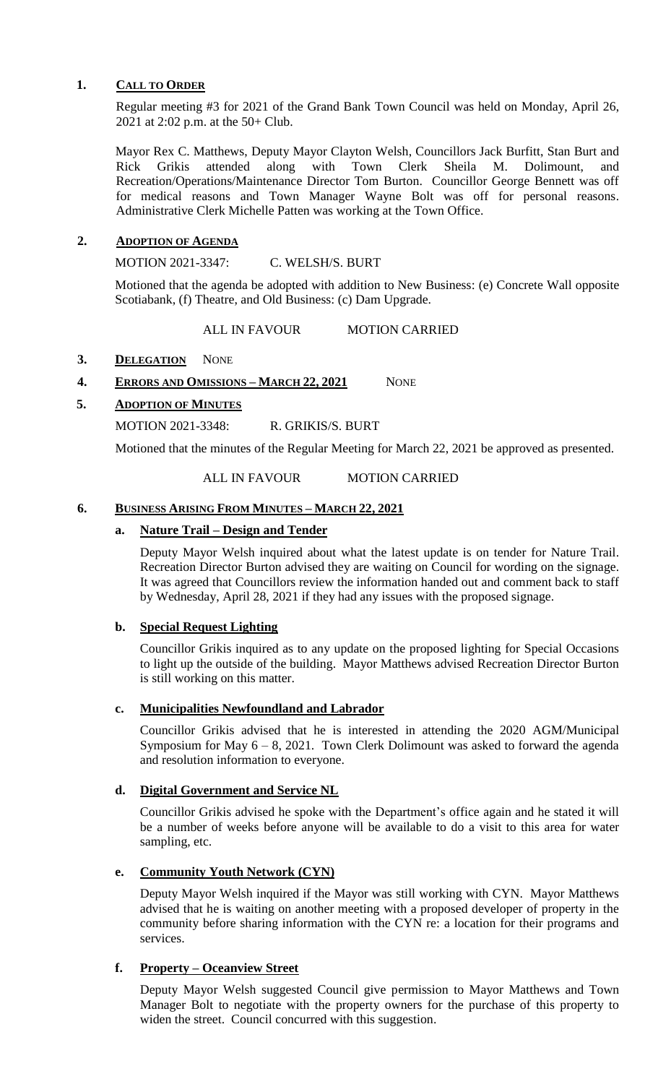# **1. CALL TO ORDER**

Regular meeting #3 for 2021 of the Grand Bank Town Council was held on Monday, April 26, 2021 at 2:02 p.m. at the 50+ Club.

Mayor Rex C. Matthews, Deputy Mayor Clayton Welsh, Councillors Jack Burfitt, Stan Burt and Rick Grikis attended along with Town Clerk Sheila M. Dolimount, and Recreation/Operations/Maintenance Director Tom Burton. Councillor George Bennett was off for medical reasons and Town Manager Wayne Bolt was off for personal reasons. Administrative Clerk Michelle Patten was working at the Town Office.

# **2. ADOPTION OF AGENDA**

MOTION 2021-3347: C. WELSH/S. BURT

Motioned that the agenda be adopted with addition to New Business: (e) Concrete Wall opposite Scotiabank, (f) Theatre, and Old Business: (c) Dam Upgrade.

ALL IN FAVOUR MOTION CARRIED

# 3. **DELEGATION** NONE

# **4. ERRORS AND OMISSIONS – MARCH 22, 2021** NONE

# **5. ADOPTION OF MINUTES**

MOTION 2021-3348: R. GRIKIS/S. BURT

Motioned that the minutes of the Regular Meeting for March 22, 2021 be approved as presented.

# ALL IN FAVOUR MOTION CARRIED

# **6. BUSINESS ARISING FROM MINUTES – MARCH 22, 2021**

# **a. Nature Trail – Design and Tender**

Deputy Mayor Welsh inquired about what the latest update is on tender for Nature Trail. Recreation Director Burton advised they are waiting on Council for wording on the signage. It was agreed that Councillors review the information handed out and comment back to staff by Wednesday, April 28, 2021 if they had any issues with the proposed signage.

# **b. Special Request Lighting**

Councillor Grikis inquired as to any update on the proposed lighting for Special Occasions to light up the outside of the building. Mayor Matthews advised Recreation Director Burton is still working on this matter.

# **c. Municipalities Newfoundland and Labrador**

Councillor Grikis advised that he is interested in attending the 2020 AGM/Municipal Symposium for May  $6 - 8$ , 2021. Town Clerk Dolimount was asked to forward the agenda and resolution information to everyone.

# **d. Digital Government and Service NL**

Councillor Grikis advised he spoke with the Department's office again and he stated it will be a number of weeks before anyone will be available to do a visit to this area for water sampling, etc.

# **e. Community Youth Network (CYN)**

Deputy Mayor Welsh inquired if the Mayor was still working with CYN. Mayor Matthews advised that he is waiting on another meeting with a proposed developer of property in the community before sharing information with the CYN re: a location for their programs and services.

# **f. Property – Oceanview Street**

Deputy Mayor Welsh suggested Council give permission to Mayor Matthews and Town Manager Bolt to negotiate with the property owners for the purchase of this property to widen the street. Council concurred with this suggestion.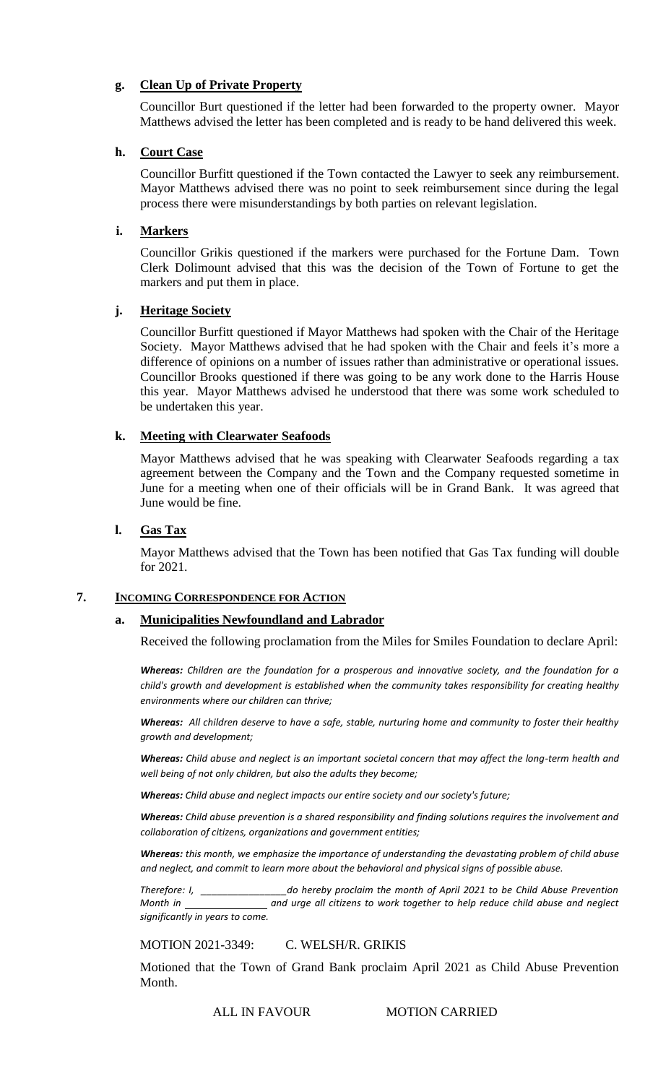# **g. Clean Up of Private Property**

Councillor Burt questioned if the letter had been forwarded to the property owner. Mayor Matthews advised the letter has been completed and is ready to be hand delivered this week.

# **h. Court Case**

Councillor Burfitt questioned if the Town contacted the Lawyer to seek any reimbursement. Mayor Matthews advised there was no point to seek reimbursement since during the legal process there were misunderstandings by both parties on relevant legislation.

# **i. Markers**

Councillor Grikis questioned if the markers were purchased for the Fortune Dam. Town Clerk Dolimount advised that this was the decision of the Town of Fortune to get the markers and put them in place.

# **j. Heritage Society**

Councillor Burfitt questioned if Mayor Matthews had spoken with the Chair of the Heritage Society. Mayor Matthews advised that he had spoken with the Chair and feels it's more a difference of opinions on a number of issues rather than administrative or operational issues. Councillor Brooks questioned if there was going to be any work done to the Harris House this year. Mayor Matthews advised he understood that there was some work scheduled to be undertaken this year.

# **k. Meeting with Clearwater Seafoods**

Mayor Matthews advised that he was speaking with Clearwater Seafoods regarding a tax agreement between the Company and the Town and the Company requested sometime in June for a meeting when one of their officials will be in Grand Bank. It was agreed that June would be fine.

# **l. Gas Tax**

Mayor Matthews advised that the Town has been notified that Gas Tax funding will double for 2021.

# **7. INCOMING CORRESPONDENCE FOR ACTION**

# **a. Municipalities Newfoundland and Labrador**

Received the following proclamation from the Miles for Smiles Foundation to declare April:

*Whereas: Children are the foundation for a prosperous and innovative society, and the foundation for a child's growth and development is established when the community takes responsibility for creating healthy environments where our children can thrive;*

*Whereas: All children deserve to have a safe, stable, nurturing home and community to foster their healthy growth and development;*

*Whereas: Child abuse and neglect is an important societal concern that may affect the long-term health and well being of not only children, but also the adults they become;*

*Whereas: Child abuse and neglect impacts our entire society and our society's future;*

*Whereas: Child abuse prevention is a shared responsibility and finding solutions requires the involvement and collaboration of citizens, organizations and government entities;*

*Whereas: this month, we emphasize the importance of understanding the devastating problem of child abuse and neglect, and commit to learn more about the behavioral and physical signs of possible abuse.*

*Therefore: I, \_\_\_\_\_\_\_\_\_\_\_\_\_\_\_\_do hereby proclaim the month of April 2021 to be Child Abuse Prevention Month in and urge all citizens to work together to help reduce child abuse and neglect significantly in years to come.*

MOTION 2021-3349: C. WELSH/R. GRIKIS

Motioned that the Town of Grand Bank proclaim April 2021 as Child Abuse Prevention Month.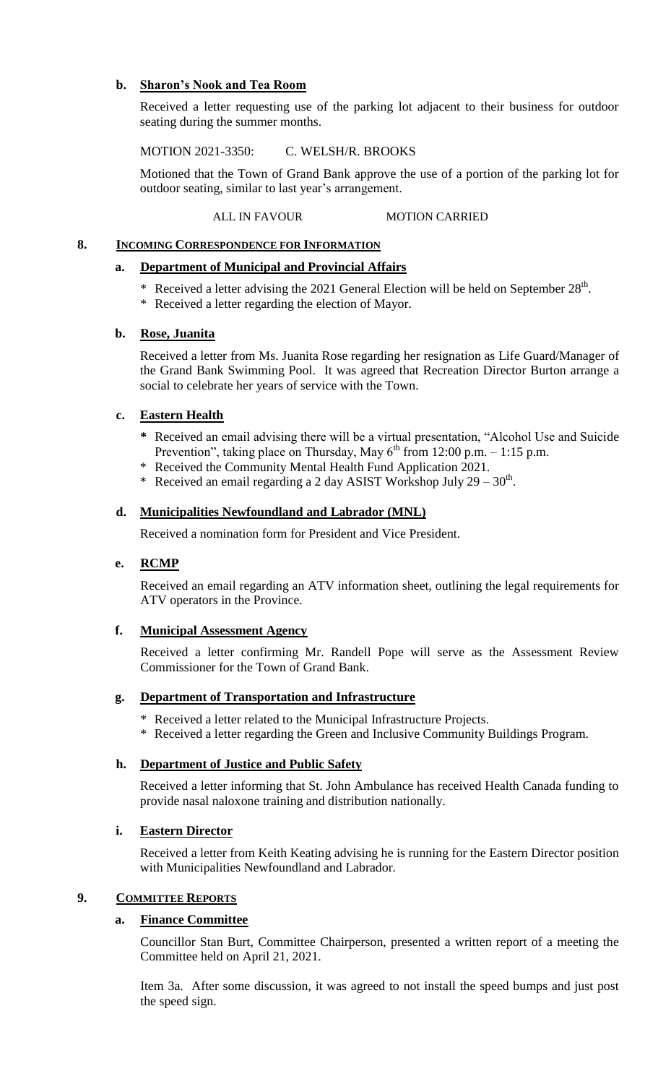# **b. Sharon's Nook and Tea Room**

Received a letter requesting use of the parking lot adjacent to their business for outdoor seating during the summer months.

MOTION 2021-3350: C. WELSH/R. BROOKS

Motioned that the Town of Grand Bank approve the use of a portion of the parking lot for outdoor seating, similar to last year's arrangement.

ALL IN FAVOUR MOTION CARRIED

# **8. INCOMING CORRESPONDENCE FOR INFORMATION**

# **a. Department of Municipal and Provincial Affairs**

- \* Received a letter advising the 2021 General Election will be held on September  $28<sup>th</sup>$ .
- \* Received a letter regarding the election of Mayor.

# **b. Rose, Juanita**

Received a letter from Ms. Juanita Rose regarding her resignation as Life Guard/Manager of the Grand Bank Swimming Pool. It was agreed that Recreation Director Burton arrange a social to celebrate her years of service with the Town.

# **c. Eastern Health**

- **\*** Received an email advising there will be a virtual presentation, "Alcohol Use and Suicide Prevention", taking place on Thursday, May  $6^{th}$  from 12:00 p.m. – 1:15 p.m.
- \* Received the Community Mental Health Fund Application 2021.
- \* Received an email regarding a 2 day ASIST Workshop July  $29 30$ <sup>th</sup>.

# **d. Municipalities Newfoundland and Labrador (MNL)**

Received a nomination form for President and Vice President.

# **e. RCMP**

Received an email regarding an ATV information sheet, outlining the legal requirements for ATV operators in the Province.

# **f. Municipal Assessment Agency**

Received a letter confirming Mr. Randell Pope will serve as the Assessment Review Commissioner for the Town of Grand Bank.

# **g. Department of Transportation and Infrastructure**

- \* Received a letter related to the Municipal Infrastructure Projects.
- \* Received a letter regarding the Green and Inclusive Community Buildings Program.

# **h. Department of Justice and Public Safety**

Received a letter informing that St. John Ambulance has received Health Canada funding to provide nasal naloxone training and distribution nationally.

# **i. Eastern Director**

Received a letter from Keith Keating advising he is running for the Eastern Director position with Municipalities Newfoundland and Labrador.

# **9. COMMITTEE REPORTS**

# **a. Finance Committee**

Councillor Stan Burt, Committee Chairperson, presented a written report of a meeting the Committee held on April 21, 2021.

Item 3a. After some discussion, it was agreed to not install the speed bumps and just post the speed sign.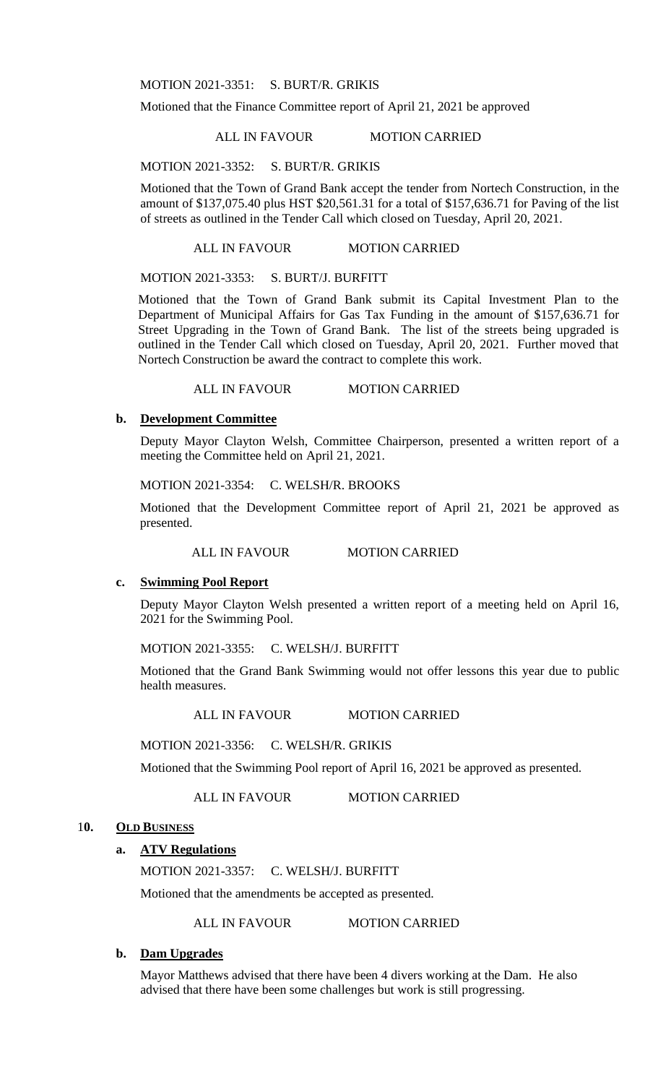MOTION 2021-3351: S. BURT/R. GRIKIS

Motioned that the Finance Committee report of April 21, 2021 be approved

ALL IN FAVOUR MOTION CARRIED

MOTION 2021-3352: S. BURT/R. GRIKIS

Motioned that the Town of Grand Bank accept the tender from Nortech Construction, in the amount of \$137,075.40 plus HST \$20,561.31 for a total of \$157,636.71 for Paving of the list of streets as outlined in the Tender Call which closed on Tuesday, April 20, 2021.

#### ALL IN FAVOUR MOTION CARRIED

MOTION 2021-3353: S. BURT/J. BURFITT

Motioned that the Town of Grand Bank submit its Capital Investment Plan to the Department of Municipal Affairs for Gas Tax Funding in the amount of \$157,636.71 for Street Upgrading in the Town of Grand Bank. The list of the streets being upgraded is outlined in the Tender Call which closed on Tuesday, April 20, 2021. Further moved that Nortech Construction be award the contract to complete this work.

ALL IN FAVOUR MOTION CARRIED

# **b. Development Committee**

Deputy Mayor Clayton Welsh, Committee Chairperson, presented a written report of a meeting the Committee held on April 21, 2021.

MOTION 2021-3354: C. WELSH/R. BROOKS

Motioned that the Development Committee report of April 21, 2021 be approved as presented.

ALL IN FAVOUR MOTION CARRIED

# **c. Swimming Pool Report**

Deputy Mayor Clayton Welsh presented a written report of a meeting held on April 16, 2021 for the Swimming Pool.

MOTION 2021-3355: C. WELSH/J. BURFITT

Motioned that the Grand Bank Swimming would not offer lessons this year due to public health measures.

ALL IN FAVOUR MOTION CARRIED

MOTION 2021-3356: C. WELSH/R. GRIKIS

Motioned that the Swimming Pool report of April 16, 2021 be approved as presented.

ALL IN FAVOUR MOTION CARRIED

#### 1**0. OLD BUSINESS**

# **a. ATV Regulations**

MOTION 2021-3357: C. WELSH/J. BURFITT

Motioned that the amendments be accepted as presented.

ALL IN FAVOUR MOTION CARRIED

#### **b. Dam Upgrades**

Mayor Matthews advised that there have been 4 divers working at the Dam. He also advised that there have been some challenges but work is still progressing.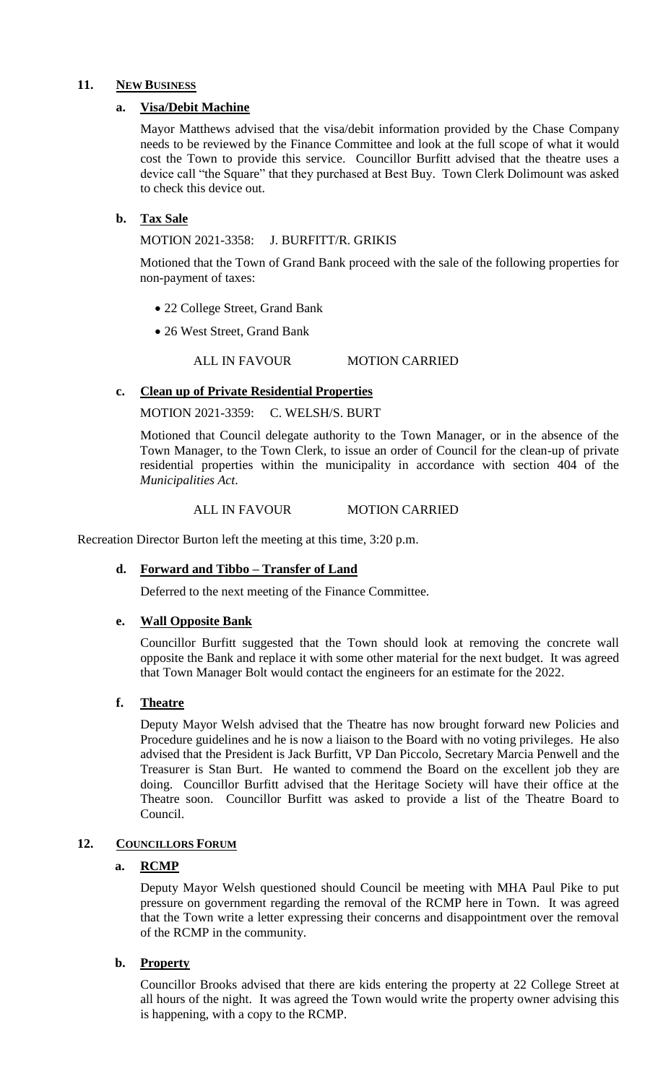# **11. NEW BUSINESS**

# **a. Visa/Debit Machine**

Mayor Matthews advised that the visa/debit information provided by the Chase Company needs to be reviewed by the Finance Committee and look at the full scope of what it would cost the Town to provide this service. Councillor Burfitt advised that the theatre uses a device call "the Square" that they purchased at Best Buy. Town Clerk Dolimount was asked to check this device out.

# **b. Tax Sale**

MOTION 2021-3358: J. BURFITT/R. GRIKIS

Motioned that the Town of Grand Bank proceed with the sale of the following properties for non-payment of taxes:

- 22 College Street, Grand Bank
- 26 West Street, Grand Bank

ALL IN FAVOUR MOTION CARRIED

# **c. Clean up of Private Residential Properties**

MOTION 2021-3359: C. WELSH/S. BURT

Motioned that Council delegate authority to the Town Manager, or in the absence of the Town Manager, to the Town Clerk, to issue an order of Council for the clean-up of private residential properties within the municipality in accordance with section 404 of the *Municipalities Act*.

#### ALL IN FAVOUR MOTION CARRIED

Recreation Director Burton left the meeting at this time, 3:20 p.m.

# **d. Forward and Tibbo – Transfer of Land**

Deferred to the next meeting of the Finance Committee.

# **e. Wall Opposite Bank**

Councillor Burfitt suggested that the Town should look at removing the concrete wall opposite the Bank and replace it with some other material for the next budget. It was agreed that Town Manager Bolt would contact the engineers for an estimate for the 2022.

# **f. Theatre**

Deputy Mayor Welsh advised that the Theatre has now brought forward new Policies and Procedure guidelines and he is now a liaison to the Board with no voting privileges. He also advised that the President is Jack Burfitt, VP Dan Piccolo, Secretary Marcia Penwell and the Treasurer is Stan Burt. He wanted to commend the Board on the excellent job they are doing. Councillor Burfitt advised that the Heritage Society will have their office at the Theatre soon. Councillor Burfitt was asked to provide a list of the Theatre Board to Council.

# 12. **COUNCILLORS FORUM**

# **a. RCMP**

Deputy Mayor Welsh questioned should Council be meeting with MHA Paul Pike to put pressure on government regarding the removal of the RCMP here in Town. It was agreed that the Town write a letter expressing their concerns and disappointment over the removal of the RCMP in the community.

# **b. Property**

Councillor Brooks advised that there are kids entering the property at 22 College Street at all hours of the night. It was agreed the Town would write the property owner advising this is happening, with a copy to the RCMP.